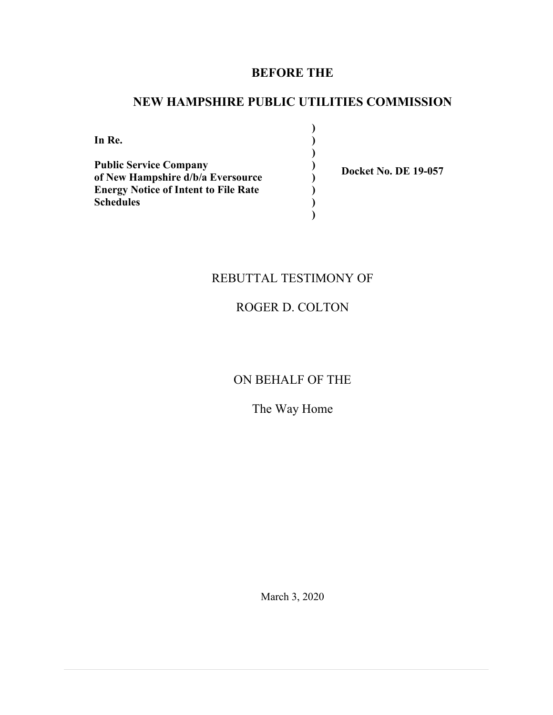## **BEFORE THE**

## **NEW HAMPSHIRE PUBLIC UTILITIES COMMISSION**

**) ) ) ) ) ) ) )**

**In Re. Public Service Company of New Hampshire d/b/a Eversource Energy Notice of Intent to File Rate Schedules**

**Docket No. DE 19-057**

## REBUTTAL TESTIMONY OF

## ROGER D. COLTON

## ON BEHALF OF THE

## The Way Home

March 3, 2020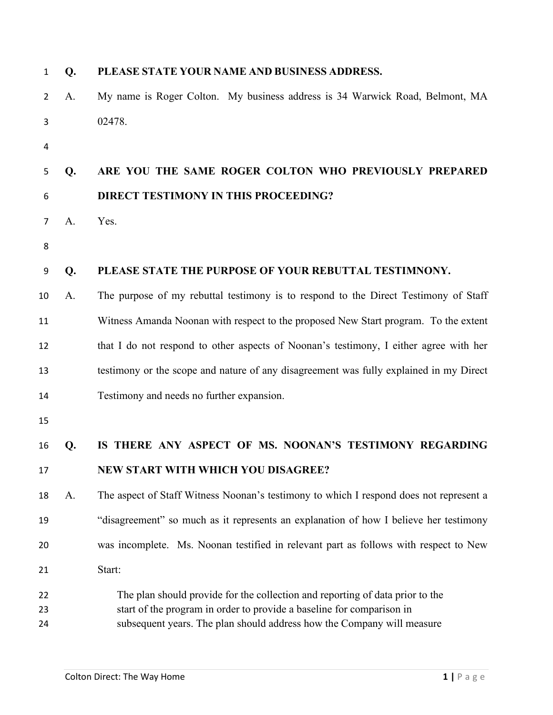| 1              | Q. | PLEASE STATE YOUR NAME AND BUSINESS ADDRESS.                                                                                                                                                                                     |
|----------------|----|----------------------------------------------------------------------------------------------------------------------------------------------------------------------------------------------------------------------------------|
| 2              | A. | My name is Roger Colton. My business address is 34 Warwick Road, Belmont, MA                                                                                                                                                     |
| 3              |    | 02478.                                                                                                                                                                                                                           |
| 4              |    |                                                                                                                                                                                                                                  |
| 5              | Q. | ARE YOU THE SAME ROGER COLTON WHO PREVIOUSLY PREPARED                                                                                                                                                                            |
| 6              |    | DIRECT TESTIMONY IN THIS PROCEEDING?                                                                                                                                                                                             |
| 7              | A. | Yes.                                                                                                                                                                                                                             |
| 8              |    |                                                                                                                                                                                                                                  |
| 9              | Q. | PLEASE STATE THE PURPOSE OF YOUR REBUTTAL TESTIMNONY.                                                                                                                                                                            |
| 10             | A. | The purpose of my rebuttal testimony is to respond to the Direct Testimony of Staff                                                                                                                                              |
| 11             |    | Witness Amanda Noonan with respect to the proposed New Start program. To the extent                                                                                                                                              |
| 12             |    | that I do not respond to other aspects of Noonan's testimony, I either agree with her                                                                                                                                            |
| 13             |    | testimony or the scope and nature of any disagreement was fully explained in my Direct                                                                                                                                           |
| 14             |    | Testimony and needs no further expansion.                                                                                                                                                                                        |
| 15             |    |                                                                                                                                                                                                                                  |
| 16             | Q. | IS THERE ANY ASPECT OF MS. NOONAN'S TESTIMONY REGARDING                                                                                                                                                                          |
| 17             |    | NEW START WITH WHICH YOU DISAGREE?                                                                                                                                                                                               |
| 18             | A. | The aspect of Staff Witness Noonan's testimony to which I respond does not represent a                                                                                                                                           |
| 19             |    | "disagreement" so much as it represents an explanation of how I believe her testimony                                                                                                                                            |
| 20             |    | was incomplete. Ms. Noonan testified in relevant part as follows with respect to New                                                                                                                                             |
| 21             |    | Start:                                                                                                                                                                                                                           |
| 22<br>23<br>24 |    | The plan should provide for the collection and reporting of data prior to the<br>start of the program in order to provide a baseline for comparison in<br>subsequent years. The plan should address how the Company will measure |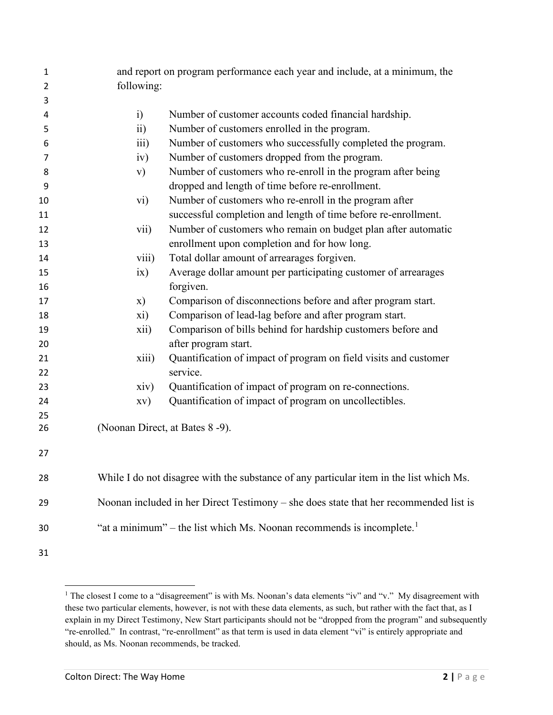| 1              |                         | and report on program performance each year and include, at a minimum, the              |  |  |
|----------------|-------------------------|-----------------------------------------------------------------------------------------|--|--|
| $\overline{2}$ | following:              |                                                                                         |  |  |
| 3              |                         |                                                                                         |  |  |
| 4              | i)                      | Number of customer accounts coded financial hardship.                                   |  |  |
| 5              | $\overline{ii}$ )       | Number of customers enrolled in the program.                                            |  |  |
| 6              | $\overline{111}$        | Number of customers who successfully completed the program.                             |  |  |
| 7              | iv)                     | Number of customers dropped from the program.                                           |  |  |
| 8              | $\mathbf{v})$           | Number of customers who re-enroll in the program after being                            |  |  |
| 9              |                         | dropped and length of time before re-enrollment.                                        |  |  |
| 10             | $\rm\,vi)$              | Number of customers who re-enroll in the program after                                  |  |  |
| 11             |                         | successful completion and length of time before re-enrollment.                          |  |  |
| 12             | $\overline{\text{vii}}$ | Number of customers who remain on budget plan after automatic                           |  |  |
| 13             |                         | enrollment upon completion and for how long.                                            |  |  |
| 14             | viii)                   | Total dollar amount of arrearages forgiven.                                             |  |  |
| 15             | ix)                     | Average dollar amount per participating customer of arrearages                          |  |  |
| 16             |                         | forgiven.                                                                               |  |  |
| 17             | $\mathbf{x})$           | Comparison of disconnections before and after program start.                            |  |  |
| 18             | xi)                     | Comparison of lead-lag before and after program start.                                  |  |  |
| 19             | xii)                    | Comparison of bills behind for hardship customers before and                            |  |  |
| 20             |                         | after program start.                                                                    |  |  |
| 21             | xiii)                   | Quantification of impact of program on field visits and customer                        |  |  |
| 22             |                         | service.                                                                                |  |  |
| 23             | xiv)                    | Quantification of impact of program on re-connections.                                  |  |  |
| 24             | XV)                     | Quantification of impact of program on uncollectibles.                                  |  |  |
| 25             |                         |                                                                                         |  |  |
| 26             |                         | (Noonan Direct, at Bates 8 -9).                                                         |  |  |
| 27             |                         |                                                                                         |  |  |
| 28             |                         | While I do not disagree with the substance of any particular item in the list which Ms. |  |  |
| 29             |                         | Noonan included in her Direct Testimony - she does state that her recommended list is   |  |  |
| 30             |                         | "at a minimum" – the list which Ms. Noonan recommends is incomplete. <sup>1</sup>       |  |  |
| 31             |                         |                                                                                         |  |  |

<span id="page-2-0"></span><sup>&</sup>lt;sup>1</sup> The closest I come to a "disagreement" is with Ms. Noonan's data elements "iv" and "v." My disagreement with these two particular elements, however, is not with these data elements, as such, but rather with the fact that, as I explain in my Direct Testimony, New Start participants should not be "dropped from the program" and subsequently "re-enrolled." In contrast, "re-enrollment" as that term is used in data element "vi" is entirely appropriate and should, as Ms. Noonan recommends, be tracked.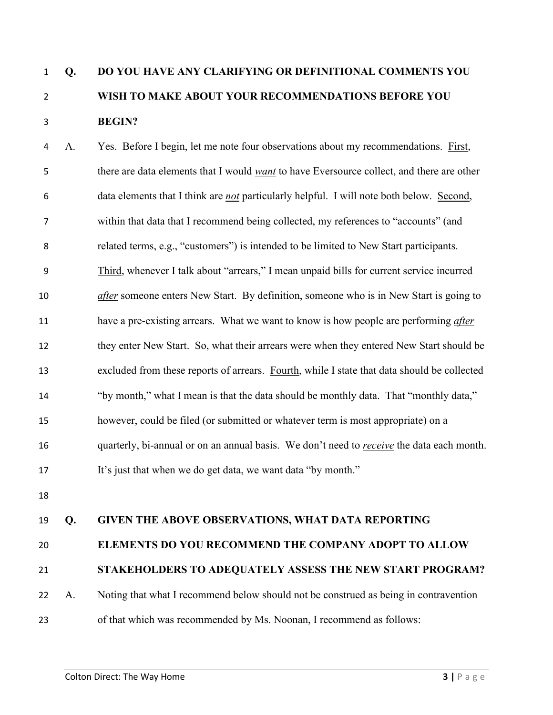# **Q. DO YOU HAVE ANY CLARIFYING OR DEFINITIONAL COMMENTS YOU WISH TO MAKE ABOUT YOUR RECOMMENDATIONS BEFORE YOU BEGIN?**

 A. Yes. Before I begin, let me note four observations about my recommendations. First, there are data elements that I would *want* to have Eversource collect, and there are other data elements that I think are *not* particularly helpful. I will note both below. Second, within that data that I recommend being collected, my references to "accounts" (and related terms, e.g., "customers") is intended to be limited to New Start participants. Third, whenever I talk about "arrears," I mean unpaid bills for current service incurred *after* someone enters New Start. By definition, someone who is in New Start is going to have a pre-existing arrears. What we want to know is how people are performing *after* they enter New Start. So, what their arrears were when they entered New Start should be excluded from these reports of arrears. Fourth, while I state that data should be collected "by month," what I mean is that the data should be monthly data. That "monthly data," however, could be filed (or submitted or whatever term is most appropriate) on a quarterly, bi-annual or on an annual basis. We don't need to *receive* the data each month. It's just that when we do get data, we want data "by month."

### **Q. GIVEN THE ABOVE OBSERVATIONS, WHAT DATA REPORTING**

### **ELEMENTS DO YOU RECOMMEND THE COMPANY ADOPT TO ALLOW**

#### **STAKEHOLDERS TO ADEQUATELY ASSESS THE NEW START PROGRAM?**

A. Noting that what I recommend below should not be construed as being in contravention

of that which was recommended by Ms. Noonan, I recommend as follows: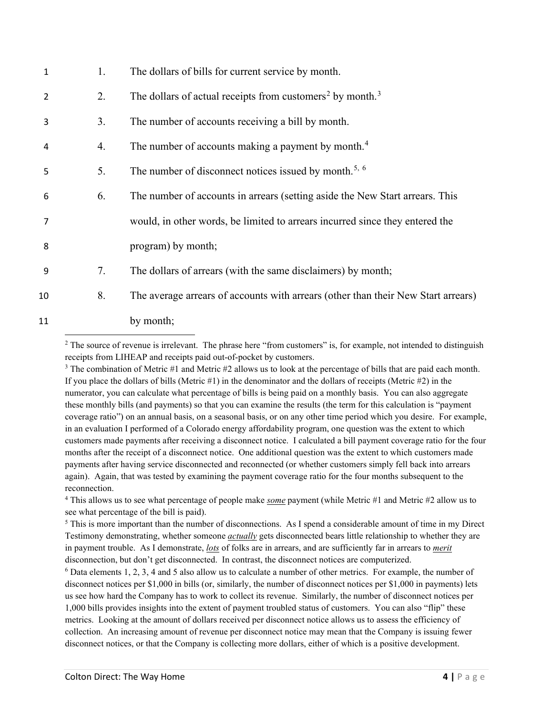| 1  | 1. | The dollars of bills for current service by month.                                |
|----|----|-----------------------------------------------------------------------------------|
| 2  | 2. | The dollars of actual receipts from customers <sup>2</sup> by month. <sup>3</sup> |
| 3  | 3. | The number of accounts receiving a bill by month.                                 |
| 4  | 4. | The number of accounts making a payment by month. <sup>4</sup>                    |
| 5  | 5. | The number of disconnect notices issued by month. <sup>5, 6</sup>                 |
| 6  | 6. | The number of accounts in arrears (setting aside the New Start arrears. This      |
| 7  |    | would, in other words, be limited to arrears incurred since they entered the      |
| 8  |    | program) by month;                                                                |
| 9  | 7. | The dollars of arrears (with the same disclaimers) by month;                      |
| 10 | 8. | The average arrears of accounts with arrears (other than their New Start arrears) |
| 11 |    | by month;                                                                         |
|    |    |                                                                                   |

<span id="page-4-0"></span> $2$  The source of revenue is irrelevant. The phrase here "from customers" is, for example, not intended to distinguish receipts from LIHEAP and receipts paid out-of-pocket by customers.<br><sup>3</sup> The combination of Metric #1 and Metric #2 allows us to look at the percentage of bills that are paid each month.

<span id="page-4-1"></span>If you place the dollars of bills (Metric  $\#1$ ) in the denominator and the dollars of receipts (Metric  $\#2$ ) in the numerator, you can calculate what percentage of bills is being paid on a monthly basis. You can also aggregate these monthly bills (and payments) so that you can examine the results (the term for this calculation is "payment coverage ratio") on an annual basis, on a seasonal basis, or on any other time period which you desire. For example, in an evaluation I performed of a Colorado energy affordability program, one question was the extent to which customers made payments after receiving a disconnect notice. I calculated a bill payment coverage ratio for the four months after the receipt of a disconnect notice. One additional question was the extent to which customers made payments after having service disconnected and reconnected (or whether customers simply fell back into arrears again). Again, that was tested by examining the payment coverage ratio for the four months subsequent to the reconnection.

<span id="page-4-2"></span><sup>4</sup> This allows us to see what percentage of people make *some* payment (while Metric #1 and Metric #2 allow us to see what percentage of the bill is paid).

<span id="page-4-3"></span><sup>5</sup> This is more important than the number of disconnections. As I spend a considerable amount of time in my Direct Testimony demonstrating, whether someone *actually* gets disconnected bears little relationship to whether they are in payment trouble. As I demonstrate, *lots* of folks are in arrears, and are sufficiently far in arrears to *merit* disconnection, but don't get disconnected. In contrast, the disconnect notices are computerized.

<span id="page-4-4"></span><sup>6</sup> Data elements 1, 2, 3, 4 and 5 also allow us to calculate a number of other metrics. For example, the number of disconnect notices per \$1,000 in bills (or, similarly, the number of disconnect notices per \$1,000 in payments) lets us see how hard the Company has to work to collect its revenue. Similarly, the number of disconnect notices per 1,000 bills provides insights into the extent of payment troubled status of customers. You can also "flip" these metrics. Looking at the amount of dollars received per disconnect notice allows us to assess the efficiency of collection. An increasing amount of revenue per disconnect notice may mean that the Company is issuing fewer disconnect notices, or that the Company is collecting more dollars, either of which is a positive development.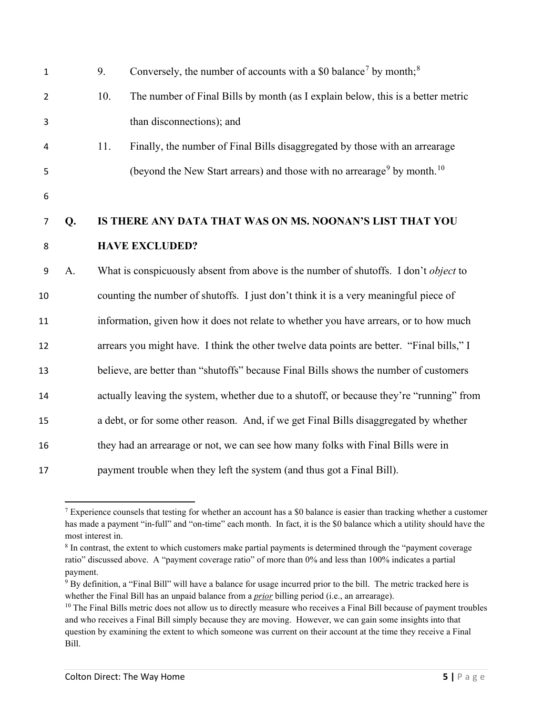| $\mathbf 1$    |    | 9.                                                                                        | Conversely, the number of accounts with a \$0 balance <sup>7</sup> by month; <sup>8</sup>       |  |  |  |
|----------------|----|-------------------------------------------------------------------------------------------|-------------------------------------------------------------------------------------------------|--|--|--|
| $\overline{2}$ |    | 10.                                                                                       | The number of Final Bills by month (as I explain below, this is a better metric                 |  |  |  |
| 3              |    |                                                                                           | than disconnections); and                                                                       |  |  |  |
| 4              |    | 11.                                                                                       | Finally, the number of Final Bills disaggregated by those with an arrearage                     |  |  |  |
| 5              |    |                                                                                           | (beyond the New Start arrears) and those with no arrearage <sup>9</sup> by month. <sup>10</sup> |  |  |  |
| 6              |    |                                                                                           |                                                                                                 |  |  |  |
| $\overline{7}$ | Q. | IS THERE ANY DATA THAT WAS ON MS. NOONAN'S LIST THAT YOU                                  |                                                                                                 |  |  |  |
| 8              |    |                                                                                           | <b>HAVE EXCLUDED?</b>                                                                           |  |  |  |
| 9              | A. |                                                                                           | What is conspicuously absent from above is the number of shutoffs. I don't object to            |  |  |  |
| 10             |    | counting the number of shutoffs. I just don't think it is a very meaningful piece of      |                                                                                                 |  |  |  |
| 11             |    | information, given how it does not relate to whether you have arrears, or to how much     |                                                                                                 |  |  |  |
| 12             |    | arrears you might have. I think the other twelve data points are better. "Final bills," I |                                                                                                 |  |  |  |
| 13             |    | believe, are better than "shutoffs" because Final Bills shows the number of customers     |                                                                                                 |  |  |  |
| 14             |    |                                                                                           | actually leaving the system, whether due to a shutoff, or because they're "running" from        |  |  |  |
| 15             |    |                                                                                           | a debt, or for some other reason. And, if we get Final Bills disaggregated by whether           |  |  |  |
| 16             |    | they had an arrearage or not, we can see how many folks with Final Bills were in          |                                                                                                 |  |  |  |
| 17             |    | payment trouble when they left the system (and thus got a Final Bill).                    |                                                                                                 |  |  |  |

<span id="page-5-0"></span><sup>&</sup>lt;sup>7</sup> Experience counsels that testing for whether an account has a \$0 balance is easier than tracking whether a customer has made a payment "in-full" and "on-time" each month. In fact, it is the \$0 balance which a utility should have the most interest in.

<span id="page-5-1"></span><sup>&</sup>lt;sup>8</sup> In contrast, the extent to which customers make partial payments is determined through the "payment coverage ratio" discussed above. A "payment coverage ratio" of more than 0% and less than 100% indicates a partial payment.

<span id="page-5-2"></span> By definition, a "Final Bill" will have a balance for usage incurred prior to the bill. The metric tracked here is whether the Final Bill has an unpaid balance from a *prior* billing period (i.e., an arrearage).<br><sup>10</sup> The Final Bills metric does not allow us to directly measure who receives a Final Bill because of payment troubles

<span id="page-5-3"></span>and who receives a Final Bill simply because they are moving. However, we can gain some insights into that question by examining the extent to which someone was current on their account at the time they receive a Final Bill.